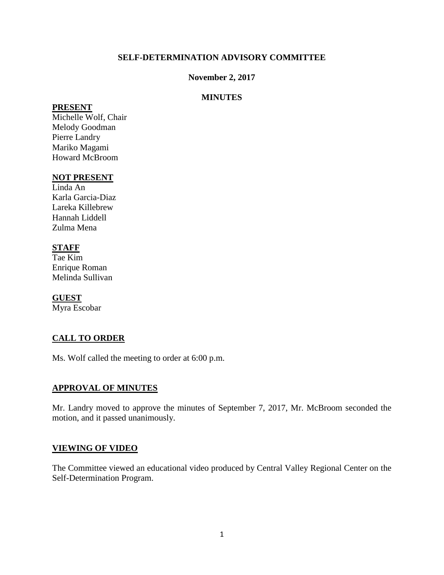# **SELF-DETERMINATION ADVISORY COMMITTEE**

# **November 2, 2017**

# **MINUTES**

#### **PRESENT**

Michelle Wolf, Chair Melody Goodman Pierre Landry Mariko Magami Howard McBroom

#### **NOT PRESENT**

Linda An Karla Garcia-Diaz Lareka Killebrew Hannah Liddell Zulma Mena

# **STAFF**

Tae Kim Enrique Roman Melinda Sullivan

# **GUEST**

Myra Escobar

# **CALL TO ORDER**

Ms. Wolf called the meeting to order at 6:00 p.m.

# **APPROVAL OF MINUTES**

Mr. Landry moved to approve the minutes of September 7, 2017, Mr. McBroom seconded the motion, and it passed unanimously.

# **VIEWING OF VIDEO**

The Committee viewed an educational video produced by Central Valley Regional Center on the Self-Determination Program.